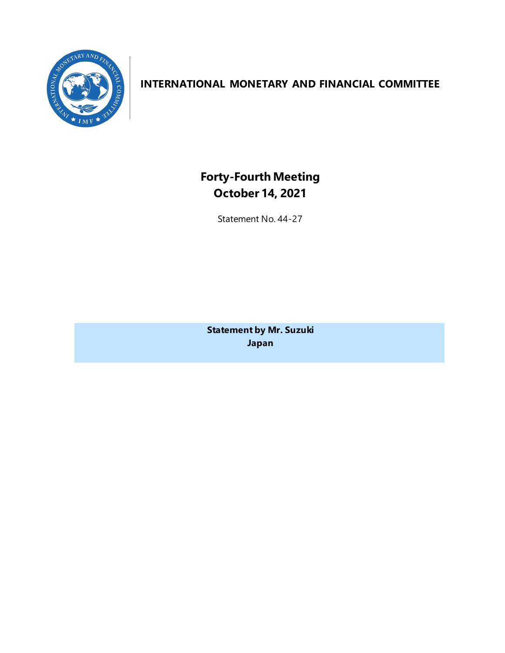

# **INTERNATIONAL MONETARY AND FINANCIAL COMMITTEE**

**Forty-Fourth Meeting October 14, 2021**

Statement No. 44-27

**Statement by Mr. Suzuki Japan**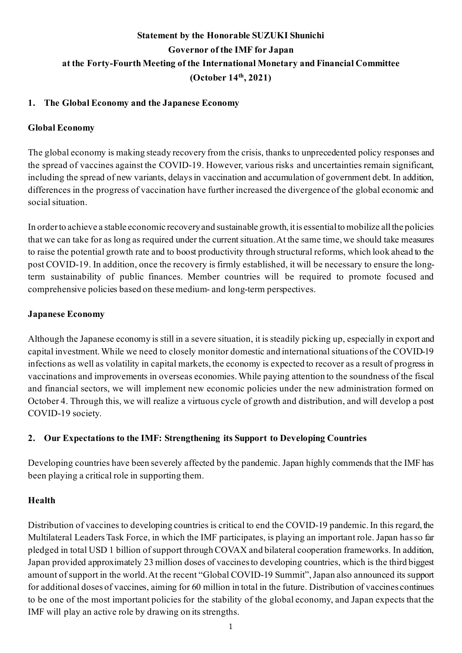# **Statement by the Honorable SUZUKI Shunichi Governor of the IMF for Japan at the Forty-Fourth Meeting of the International Monetary and Financial Committee (October 14th, 2021)**

# **1. The Global Economy and the Japanese Economy**

## **Global Economy**

The global economy is making steady recovery from the crisis, thanks to unprecedented policy responses and the spread of vaccines against the COVID-19. However, various risks and uncertainties remain significant, including the spread of new variants, delays in vaccination and accumulation of government debt. In addition, differences in the progress of vaccination have further increased the divergence of the global economic and social situation.

In order to achieve a stable economic recovery and sustainable growth, it is essential to mobilize all the policies that we can take for as long as required under the current situation. At the same time, we should take measures to raise the potential growth rate and to boost productivity through structural reforms, which look ahead to the post COVID-19. In addition, once the recovery is firmly established, it will be necessary to ensure the longterm sustainability of public finances. Member countries will be required to promote focused and comprehensive policies based on these medium- and long-term perspectives.

## **Japanese Economy**

Although the Japanese economy is still in a severe situation, it is steadily picking up, especially in export and capital investment. While we need to closely monitor domestic and international situations of the COVID-19 infections as well as volatility in capital markets, the economy is expected to recover as a result of progress in vaccinations and improvements in overseas economies. While paying attention to the soundness of the fiscal and financial sectors, we will implement new economic policies under the new administration formed on October 4. Through this, we will realize a virtuous cycle of growth and distribution, and will develop a post COVID-19 society.

# **2. Our Expectations to the IMF: Strengthening its Support to Developing Countries**

Developing countries have been severely affected by the pandemic. Japan highly commends that the IMF has been playing a critical role in supporting them.

## **Health**

Distribution of vaccines to developing countries is critical to end the COVID-19 pandemic. In this regard, the Multilateral Leaders Task Force, in which the IMF participates, is playing an important role. Japan has so far pledged in total USD 1 billion of support through COVAX and bilateral cooperation frameworks. In addition, Japan provided approximately 23 million doses of vaccines to developing countries, which is the third biggest amount of support in the world. At the recent "Global COVID-19 Summit", Japan also announced its support for additional doses of vaccines, aiming for 60 million in total in the future. Distribution of vaccines continues to be one of the most important policies for the stability of the global economy, and Japan expects that the IMF will play an active role by drawing on its strengths.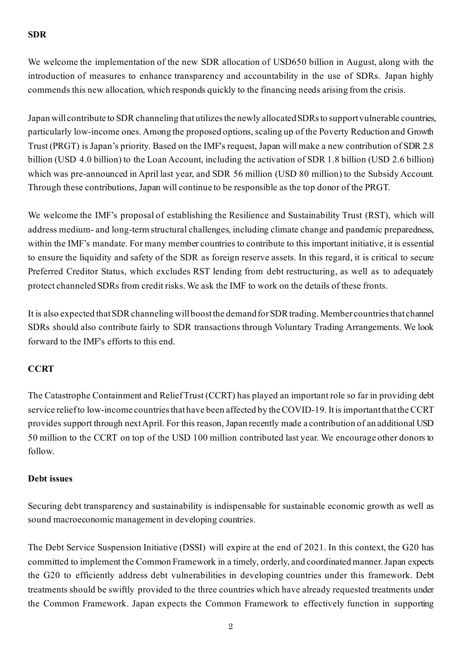## **SDR**

We welcome the implementation of the new SDR allocation of USD650 billion in August, along with the introduction of measures to enhance transparency and accountability in the use of SDRs. Japan highly commends this new allocation, which responds quickly to the financing needs arising from the crisis.

Japan will contribute to SDR channeling that utilizes the newly allocated SDRs to support vulnerable countries, particularly low-income ones. Among the proposed options, scaling up of the Poverty Reduction and Growth Trust (PRGT) is Japan's priority. Based on the IMF's request, Japan will make a new contribution of SDR 2.8 billion (USD 4.0 billion) to the Loan Account, including the activation of SDR 1.8 billion (USD 2.6 billion) which was pre-announced in April last year, and SDR 56 million (USD 80 million) to the Subsidy Account. Through these contributions, Japan will continue to be responsible as the top donor of the PRGT.

We welcome the IMF's proposal of establishing the Resilience and Sustainability Trust (RST), which will address medium- and long-term structural challenges, including climate change and pandemic preparedness, within the IMF's mandate. For many member countries to contribute to this important initiative, it is essential to ensure the liquidity and safety of the SDR as foreign reserve assets. In this regard, it is critical to secure Preferred Creditor Status, which excludes RST lending from debt restructuring, as well as to adequately protect channeled SDRs from credit risks. We ask the IMF to work on the details of these fronts.

It is also expected that SDR channeling will boost the demand for SDR trading. Member countries that channel SDRs should also contribute fairly to SDR transactions through Voluntary Trading Arrangements. We look forward to the IMF's efforts to this end.

## **CCRT**

The Catastrophe Containment and Relief Trust (CCRT) has played an important role so far in providing debt service relief to low-income countries that have been affected by the COVID-19. It is important that the CCRT provides support through next April. For this reason, Japan recently made a contribution of an additional USD 50 million to the CCRT on top of the USD 100 million contributed last year. We encourage other donors to follow.

#### **Debt issues**

Securing debt transparency and sustainability is indispensable for sustainable economic growth as well as sound macroeconomic management in developing countries.

The Debt Service Suspension Initiative (DSSI) will expire at the end of 2021. In this context, the G20 has committed to implement the Common Framework in a timely, orderly, and coordinated manner. Japan expects the G20 to efficiently address debt vulnerabilities in developing countries under this framework. Debt treatments should be swiftly provided to the three countries which have already requested treatments under the Common Framework. Japan expects the Common Framework to effectively function in supporting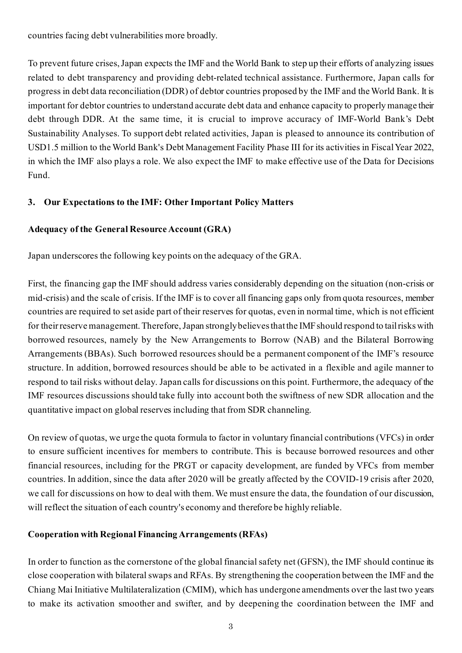countries facing debt vulnerabilities more broadly.

To prevent future crises, Japan expects the IMF and the World Bank to step up their efforts of analyzing issues related to debt transparency and providing debt-related technical assistance. Furthermore, Japan calls for progress in debt data reconciliation (DDR) of debtor countries proposed by the IMF and the World Bank. It is important for debtor countries to understand accurate debt data and enhance capacity to properly manage their debt through DDR. At the same time, it is crucial to improve accuracy of IMF-World Bank's Debt Sustainability Analyses. To support debt related activities, Japan is pleased to announce its contribution of USD1.5 million to the World Bank's Debt Management Facility Phase III for its activities in Fiscal Year 2022, in which the IMF also plays a role. We also expect the IMF to make effective use of the Data for Decisions Fund.

## **3. Our Expectations to the IMF: Other Important Policy Matters**

### **Adequacy of the General Resource Account (GRA)**

Japan underscores the following key points on the adequacy of the GRA.

First, the financing gap the IMF should address varies considerably depending on the situation (non-crisis or mid-crisis) and the scale of crisis. If the IMF is to cover all financing gaps only from quota resources, member countries are required to set aside part of their reserves for quotas, even in normal time, which is not efficient for their reserve management. Therefore, Japan strongly believes that the IMF should respond to tail risks with borrowed resources, namely by the New Arrangements to Borrow (NAB) and the Bilateral Borrowing Arrangements (BBAs). Such borrowed resources should be a permanent component of the IMF's resource structure. In addition, borrowed resources should be able to be activated in a flexible and agile manner to respond to tail risks without delay. Japan calls for discussions on this point. Furthermore, the adequacy of the IMF resources discussions should take fully into account both the swiftness of new SDR allocation and the quantitative impact on global reserves including that from SDR channeling.

On review of quotas, we urge the quota formula to factor in voluntary financial contributions (VFCs) in order to ensure sufficient incentives for members to contribute. This is because borrowed resources and other financial resources, including for the PRGT or capacity development, are funded by VFCs from member countries. In addition, since the data after 2020 will be greatly affected by the COVID-19 crisis after 2020, we call for discussions on how to deal with them. We must ensure the data, the foundation of our discussion, will reflect the situation of each country's economy and therefore be highly reliable.

#### **Cooperation with Regional Financing Arrangements (RFAs)**

In order to function as the cornerstone of the global financial safety net (GFSN), the IMF should continue its close cooperation with bilateral swaps and RFAs. By strengthening the cooperation between the IMF and the Chiang Mai Initiative Multilateralization (CMIM), which has undergone amendments over the last two years to make its activation smoother and swifter, and by deepening the coordination between the IMF and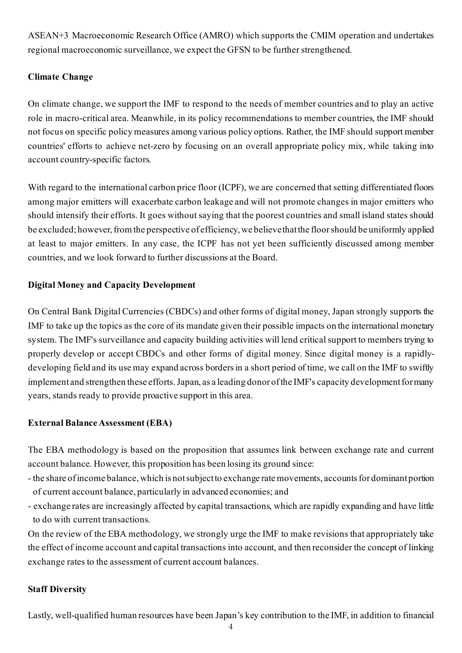ASEAN+3 Macroeconomic Research Office (AMRO) which supports the CMIM operation and undertakes regional macroeconomic surveillance, we expect the GFSN to be further strengthened.

## **Climate Change**

On climate change, we support the IMF to respond to the needs of member countries and to play an active role in macro-critical area. Meanwhile, in its policy recommendations to member countries, the IMF should not focus on specific policy measures among various policy options. Rather, the IMF should support member countries' efforts to achieve net-zero by focusing on an overall appropriate policy mix, while taking into account country-specific factors.

With regard to the international carbon price floor (ICPF), we are concerned that setting differentiated floors among major emitters will exacerbate carbon leakage and will not promote changes in major emitters who should intensify their efforts. It goes without saying that the poorest countries and small island states should be excluded; however, from the perspective of efficiency, we believe that the floor should be uniformly applied at least to major emitters. In any case, the ICPF has not yet been sufficiently discussed among member countries, and we look forward to further discussions at the Board.

# **Digital Money and Capacity Development**

On Central Bank Digital Currencies (CBDCs) and other forms of digital money, Japan strongly supports the IMF to take up the topics as the core of its mandate given their possible impacts on the international monetary system. The IMF's surveillance and capacity building activities will lend critical support to members trying to properly develop or accept CBDCs and other forms of digital money. Since digital money is a rapidlydeveloping field and its use may expand across borders in a short period of time, we call on the IMF to swiftly implement and strengthen these efforts. Japan, as a leading donor of the IMF's capacity development for many years, stands ready to provide proactive support in this area.

## **External Balance Assessment (EBA)**

The EBA methodology is based on the proposition that assumes link between exchange rate and current account balance. However, this proposition has been losing its ground since:

- the share of income balance, which is not subject to exchange rate movements, accounts for dominant portion of current account balance, particularly in advanced economies; and
- exchange rates are increasingly affected by capital transactions, which are rapidly expanding and have little to do with current transactions.

On the review of the EBA methodology, we strongly urge the IMF to make revisions that appropriately take the effect of income account and capital transactions into account, and then reconsider the concept of linking exchange rates to the assessment of current account balances.

## **Staff Diversity**

Lastly, well-qualified human resources have been Japan's key contribution to the IMF, in addition to financial